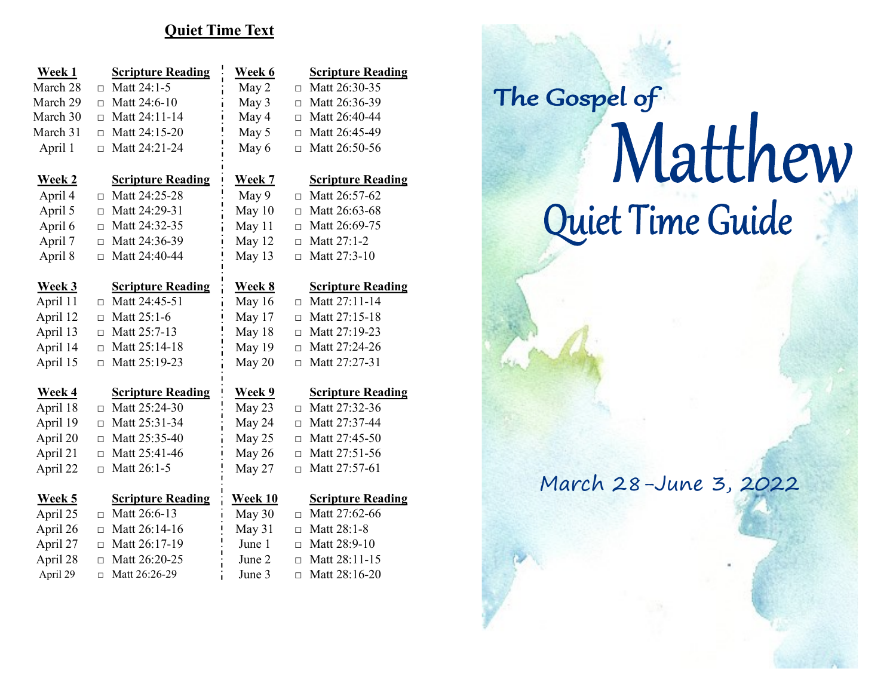## **Quiet Time Text**

| Week 1        | <b>Scripture Reading</b> | Week 6           | <b>Scripture Reading</b> |
|---------------|--------------------------|------------------|--------------------------|
| March 28      | Matt 24:1-5<br>$\Box$    | May 2<br>$\Box$  | Matt 26:30-35            |
| March 29      | Matt 24:6-10<br>$\Box$   | May 3<br>$\Box$  | Matt 26:36-39            |
| March 30      | Matt 24:11-14<br>$\Box$  | May 4<br>$\Box$  | Matt 26:40-44            |
| March 31      | Matt 24:15-20<br>$\Box$  | May 5<br>$\Box$  | Matt 26:45-49            |
| April 1       | Matt 24:21-24<br>$\Box$  | May 6<br>$\Box$  | Matt 26:50-56            |
| <u>Week 2</u> | <b>Scripture Reading</b> | <u>Week 7</u>    | <b>Scripture Reading</b> |
| April 4       | Matt 24:25-28<br>$\Box$  | May 9<br>$\Box$  | Matt 26:57-62            |
| April 5       | Matt 24:29-31<br>$\Box$  | May 10<br>$\Box$ | Matt 26:63-68            |
| April 6       | Matt 24:32-35<br>$\Box$  | May 11<br>$\Box$ | Matt 26:69-75            |
| April 7       | Matt 24:36-39<br>$\Box$  | May 12<br>$\Box$ | Matt 27:1-2              |
| April 8       | Matt 24:40-44<br>$\Box$  | May 13<br>П      | Matt 27:3-10             |
| Week 3        | <b>Scripture Reading</b> | <u>Week 8</u>    | <b>Scripture Reading</b> |
| April 11      | Matt 24:45-51<br>$\Box$  | May 16<br>$\Box$ | Matt 27:11-14            |
| April 12      | Matt 25:1-6<br>$\Box$    | May 17<br>$\Box$ | Matt 27:15-18            |
| April 13      | Matt 25:7-13<br>$\Box$   | May 18<br>$\Box$ | Matt 27:19-23            |
| April 14      | Matt 25:14-18<br>$\Box$  | May 19<br>П      | Matt 27:24-26            |
| April 15      | Matt 25:19-23<br>$\Box$  | May 20<br>$\Box$ | Matt 27:27-31            |
|               |                          |                  |                          |
| Week 4        | <b>Scripture Reading</b> | Week 9           | <b>Scripture Reading</b> |
| April 18      | Matt 25:24-30<br>$\Box$  | May 23<br>П      | Matt 27:32-36            |
| April 19      | Matt 25:31-34<br>$\Box$  | May 24<br>$\Box$ | Matt 27:37-44            |
| April 20      | Matt 25:35-40<br>$\Box$  | May 25<br>$\Box$ | Matt 27:45-50            |
| April 21      | Matt 25:41-46<br>$\Box$  | May 26<br>$\Box$ | Matt 27:51-56            |
| April 22      | Matt 26:1-5<br>$\Box$    | May 27<br>$\Box$ | Matt 27:57-61            |
| Week 5        | <b>Scripture Reading</b> | <b>Week 10</b>   | <b>Scripture Reading</b> |
| April 25      | Matt 26:6-13<br>$\Box$   | May 30<br>П      | Matt 27:62-66            |
| April 26      | Matt 26:14-16<br>$\Box$  | May 31<br>$\Box$ | Matt 28:1-8              |
| April 27      | Matt 26:17-19<br>$\Box$  | June 1<br>$\Box$ | Matt 28:9-10             |
| April 28      | Matt 26:20-25<br>$\Box$  | June 2<br>$\Box$ | Matt 28:11-15            |
| April 29      | Matt 26:26-29<br>$\Box$  | June 3<br>$\Box$ | Matt 28:16-20            |

| The Gospel of         |
|-----------------------|
| Matthew               |
| Quiet Time Guide      |
|                       |
| March 28-June 3, 2022 |
|                       |